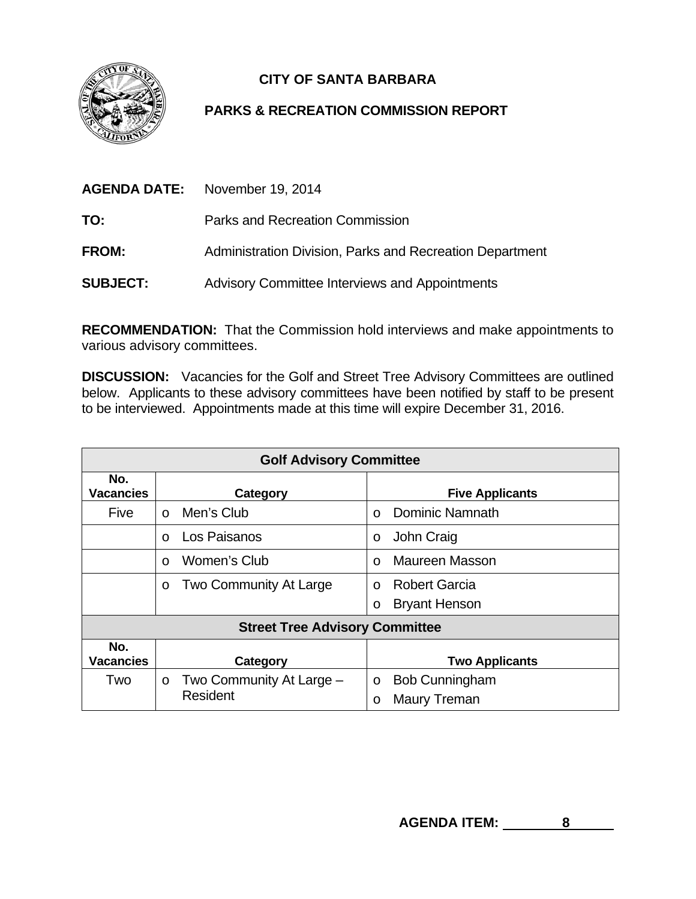

## **CITY OF SANTA BARBARA**

## **PARKS & RECREATION COMMISSION REPORT**

|                 | <b>AGENDA DATE:</b> November 19, 2014                    |  |
|-----------------|----------------------------------------------------------|--|
| TO:             | Parks and Recreation Commission                          |  |
| <b>FROM:</b>    | Administration Division, Parks and Recreation Department |  |
| <b>SUBJECT:</b> | Advisory Committee Interviews and Appointments           |  |

**RECOMMENDATION:** That the Commission hold interviews and make appointments to various advisory committees.

**DISCUSSION:** Vacancies for the Golf and Street Tree Advisory Committees are outlined below. Applicants to these advisory committees have been notified by staff to be present to be interviewed. Appointments made at this time will expire December 31, 2016.

| <b>Golf Advisory Committee</b>        |                                     |                                   |  |
|---------------------------------------|-------------------------------------|-----------------------------------|--|
| No.<br><b>Vacancies</b>               | Category                            | <b>Five Applicants</b>            |  |
| Five                                  | Men's Club<br>$\Omega$              | Dominic Namnath<br>$\Omega$       |  |
|                                       | Los Paisanos<br>$\Omega$            | John Craig<br>$\circ$             |  |
|                                       | Women's Club<br>$\Omega$            | <b>Maureen Masson</b><br>$\Omega$ |  |
|                                       | Two Community At Large<br>O         | <b>Robert Garcia</b><br>$\Omega$  |  |
|                                       |                                     | <b>Bryant Henson</b><br>O         |  |
| <b>Street Tree Advisory Committee</b> |                                     |                                   |  |
| No.<br><b>Vacancies</b>               | Category                            | <b>Two Applicants</b>             |  |
| Two                                   | Two Community At Large -<br>$\circ$ | <b>Bob Cunningham</b><br>$\circ$  |  |
|                                       | Resident                            | Maury Treman<br>O                 |  |